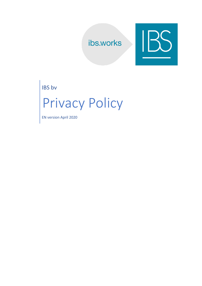## ibs.works



IBS bv

# Privacy Policy

EN version April 2020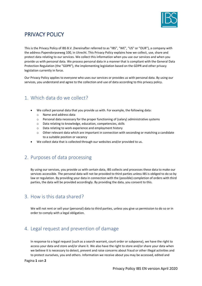

### PRIVACY POLICY

This is the Privacy Policy of IBS B.V. (hereinafter referred to as "IBS", "WE", "US" or "OUR"), a company with the address Papendorpseweg 100, in Utrecht. This Privacy Policy explains how we collect, use, share and protect data relating to our services. We collect this information when you use our services and when you provide us with personal data. We process personal data in a manner that is compliant with the General Data Protection Regulation (the "GDPR"), the implementing legislation based on the GDPR and other privacy legislation currently in force.

Our Privacy Policy applies to everyone who uses our services or provides us with personal data. By using our services, you understand and agree to the collection and use of data according to this privacy policy.

#### 1. Which data do we collect?

- We collect personal data that you provide us with. For example, the following data:
	- o Name and address data
	- o Personal data necessary for the proper functioning of (salary) administrative systems
	- o Data relating to knowledge, education, competencies, skills
	- o Data relating to work experience and employment history
	- $\circ$  Other relevant data which are important in connection with seconding or matching a candidate to a suitable position or vacancy
- We collect data that is collected through our websites and/or provided to us.

#### 2. Purposes of data processing

By using our services, you provide us with certain data, IBS collects and processes these data to make our services accessible. The personal data will not be provided to third parties unless IBS is obliged to do so by law or regulation. By providing your data in connection with the (possible) completion of orders with third parties, the data will be provided accordingly. By providing the data, you consent to this.

#### 3. How is this data shared?

We will not rent or sell your (personal) data to third parties, unless you give us permission to do so or in order to comply with a legal obligation.

#### 4. Legal request and prevention of damage

In response to a legal request (such as a search warrant, court order or subpoena), we have the right to access your data and store and/or share it. We also have the right to store and/or share your data when we believe it is necessary to detect, prevent and raise concerns about fraud or other illegal activities and to protect ourselves, you and others. Information we receive about you may be accessed, edited and